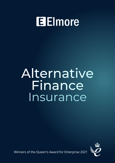# **Elmore**

# Alternative Finance Insurance



Winners of the Queen's Award for Enterprise 2021